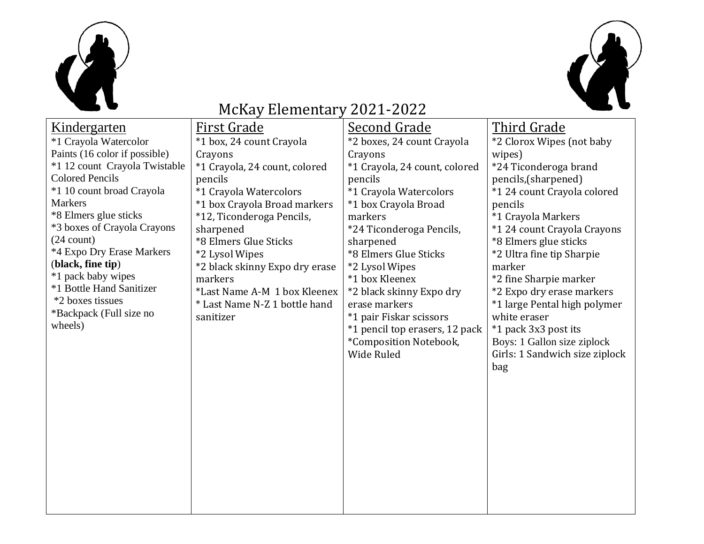



## McKay Elementary 2021-2022

| Kindergarten                                                                                                                  | <b>First Grade</b>                                                                                                      | <b>Second Grade</b>                                                                                                                                                                | <u>Third Grade</u>                                                                                                                                                                                            |
|-------------------------------------------------------------------------------------------------------------------------------|-------------------------------------------------------------------------------------------------------------------------|------------------------------------------------------------------------------------------------------------------------------------------------------------------------------------|---------------------------------------------------------------------------------------------------------------------------------------------------------------------------------------------------------------|
| *1 Crayola Watercolor                                                                                                         | *1 box, 24 count Crayola                                                                                                | *2 boxes, 24 count Crayola                                                                                                                                                         | *2 Clorox Wipes (not baby                                                                                                                                                                                     |
| Paints (16 color if possible)                                                                                                 | Crayons                                                                                                                 | Crayons                                                                                                                                                                            | wipes)                                                                                                                                                                                                        |
| *1 12 count Crayola Twistable                                                                                                 | *1 Crayola, 24 count, colored                                                                                           | *1 Crayola, 24 count, colored                                                                                                                                                      | *24 Ticonderoga brand                                                                                                                                                                                         |
| <b>Colored Pencils</b>                                                                                                        | pencils                                                                                                                 | pencils                                                                                                                                                                            | pencils, (sharpened)                                                                                                                                                                                          |
| *1 10 count broad Crayola                                                                                                     | *1 Crayola Watercolors                                                                                                  | *1 Crayola Watercolors                                                                                                                                                             | *1 24 count Crayola colored                                                                                                                                                                                   |
| <b>Markers</b>                                                                                                                | *1 box Crayola Broad markers                                                                                            | *1 box Crayola Broad                                                                                                                                                               | pencils                                                                                                                                                                                                       |
| *8 Elmers glue sticks                                                                                                         | *12, Ticonderoga Pencils,                                                                                               | markers                                                                                                                                                                            | *1 Crayola Markers                                                                                                                                                                                            |
| *3 boxes of Crayola Crayons                                                                                                   | sharpened                                                                                                               | *24 Ticonderoga Pencils,                                                                                                                                                           | *1 24 count Crayola Crayons                                                                                                                                                                                   |
| $(24$ count)                                                                                                                  | *8 Elmers Glue Sticks                                                                                                   | sharpened                                                                                                                                                                          | *8 Elmers glue sticks                                                                                                                                                                                         |
| *4 Expo Dry Erase Markers                                                                                                     | *2 Lysol Wipes                                                                                                          | *8 Elmers Glue Sticks                                                                                                                                                              | *2 Ultra fine tip Sharpie                                                                                                                                                                                     |
|                                                                                                                               |                                                                                                                         |                                                                                                                                                                                    |                                                                                                                                                                                                               |
|                                                                                                                               |                                                                                                                         |                                                                                                                                                                                    |                                                                                                                                                                                                               |
|                                                                                                                               |                                                                                                                         |                                                                                                                                                                                    |                                                                                                                                                                                                               |
|                                                                                                                               |                                                                                                                         |                                                                                                                                                                                    |                                                                                                                                                                                                               |
|                                                                                                                               |                                                                                                                         |                                                                                                                                                                                    |                                                                                                                                                                                                               |
|                                                                                                                               |                                                                                                                         |                                                                                                                                                                                    |                                                                                                                                                                                                               |
|                                                                                                                               |                                                                                                                         |                                                                                                                                                                                    |                                                                                                                                                                                                               |
|                                                                                                                               |                                                                                                                         |                                                                                                                                                                                    |                                                                                                                                                                                                               |
|                                                                                                                               |                                                                                                                         |                                                                                                                                                                                    |                                                                                                                                                                                                               |
|                                                                                                                               |                                                                                                                         |                                                                                                                                                                                    |                                                                                                                                                                                                               |
|                                                                                                                               |                                                                                                                         |                                                                                                                                                                                    |                                                                                                                                                                                                               |
|                                                                                                                               |                                                                                                                         |                                                                                                                                                                                    |                                                                                                                                                                                                               |
|                                                                                                                               |                                                                                                                         |                                                                                                                                                                                    |                                                                                                                                                                                                               |
|                                                                                                                               |                                                                                                                         |                                                                                                                                                                                    |                                                                                                                                                                                                               |
|                                                                                                                               |                                                                                                                         |                                                                                                                                                                                    |                                                                                                                                                                                                               |
|                                                                                                                               |                                                                                                                         |                                                                                                                                                                                    |                                                                                                                                                                                                               |
|                                                                                                                               |                                                                                                                         |                                                                                                                                                                                    |                                                                                                                                                                                                               |
|                                                                                                                               |                                                                                                                         |                                                                                                                                                                                    |                                                                                                                                                                                                               |
|                                                                                                                               |                                                                                                                         |                                                                                                                                                                                    |                                                                                                                                                                                                               |
| (black, fine tip)<br>*1 pack baby wipes<br>*1 Bottle Hand Sanitizer<br>*2 boxes tissues<br>*Backpack (Full size no<br>wheels) | *2 black skinny Expo dry erase<br>markers<br>*Last Name A-M 1 box Kleenex<br>* Last Name N-Z 1 bottle hand<br>sanitizer | *2 Lysol Wipes<br>*1 box Kleenex<br>*2 black skinny Expo dry<br>erase markers<br>*1 pair Fiskar scissors<br>*1 pencil top erasers, 12 pack<br>*Composition Notebook,<br>Wide Ruled | marker<br>*2 fine Sharpie marker<br>*2 Expo dry erase markers<br>*1 large Pental high polymer<br>white eraser<br>*1 pack 3x3 post its<br>Boys: 1 Gallon size ziplock<br>Girls: 1 Sandwich size ziplock<br>bag |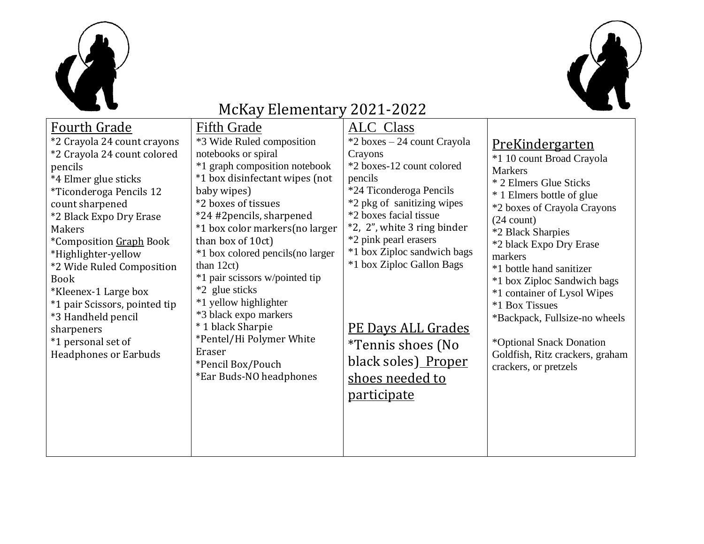



## McKay Elementary 2021-2022

| <b>Fourth Grade</b>                                                                                                                                                                                                                                                                                                                                                                                                                             | <b>Fifth Grade</b>                                                                                                                                                                                                                                                                                                                                                                                                                                                                                                   | <b>ALC</b> Class                                                                                                                                                                                                                                                                                                                                                                                 |                                                                                                                                                                                                                                                                                                                                                                                                                                                                             |
|-------------------------------------------------------------------------------------------------------------------------------------------------------------------------------------------------------------------------------------------------------------------------------------------------------------------------------------------------------------------------------------------------------------------------------------------------|----------------------------------------------------------------------------------------------------------------------------------------------------------------------------------------------------------------------------------------------------------------------------------------------------------------------------------------------------------------------------------------------------------------------------------------------------------------------------------------------------------------------|--------------------------------------------------------------------------------------------------------------------------------------------------------------------------------------------------------------------------------------------------------------------------------------------------------------------------------------------------------------------------------------------------|-----------------------------------------------------------------------------------------------------------------------------------------------------------------------------------------------------------------------------------------------------------------------------------------------------------------------------------------------------------------------------------------------------------------------------------------------------------------------------|
| *2 Crayola 24 count crayons<br>*2 Crayola 24 count colored<br>pencils<br>*4 Elmer glue sticks<br><i>*Ticonderoga Pencils 12</i><br>count sharpened<br>*2 Black Expo Dry Erase<br><b>Makers</b><br>*Composition Graph Book<br>*Highlighter-yellow<br>*2 Wide Ruled Composition<br><b>Book</b><br>*Kleenex-1 Large box<br>*1 pair Scissors, pointed tip<br>*3 Handheld pencil<br>sharpeners<br>*1 personal set of<br><b>Headphones or Earbuds</b> | *3 Wide Ruled composition<br>notebooks or spiral<br>*1 graph composition notebook<br>*1 box disinfectant wipes (not<br>baby wipes)<br>*2 boxes of tissues<br>*24 #2pencils, sharpened<br>*1 box color markers (no larger<br>than box of 10ct)<br>*1 box colored pencils (no larger<br>than $12ct$ )<br>*1 pair scissors w/pointed tip<br>*2 glue sticks<br>*1 yellow highlighter<br>*3 black expo markers<br>* 1 black Sharpie<br>*Pentel/Hi Polymer White<br>Eraser<br>*Pencil Box/Pouch<br>*Ear Buds-NO headphones | *2 boxes – 24 count Crayola<br>Crayons<br>*2 boxes-12 count colored<br>pencils<br>*24 Ticonderoga Pencils<br>*2 pkg of sanitizing wipes<br>*2 boxes facial tissue<br>*2, 2", white 3 ring binder<br>*2 pink pearl erasers<br>*1 box Ziploc sandwich bags<br>*1 box Ziploc Gallon Bags<br><u>PE Days ALL Grades</u><br>*Tennis shoes (No<br>black soles) Proper<br>shoes needed to<br>participate | <u>PreKindergarten</u><br>*1 10 count Broad Crayola<br><b>Markers</b><br>* 2 Elmers Glue Sticks<br>* 1 Elmers bottle of glue<br>*2 boxes of Crayola Crayons<br>$(24$ count)<br>*2 Black Sharpies<br>*2 black Expo Dry Erase<br>markers<br>*1 bottle hand sanitizer<br>*1 box Ziploc Sandwich bags<br>*1 container of Lysol Wipes<br>*1 Box Tissues<br>*Backpack, Fullsize-no wheels<br>*Optional Snack Donation<br>Goldfish, Ritz crackers, graham<br>crackers, or pretzels |